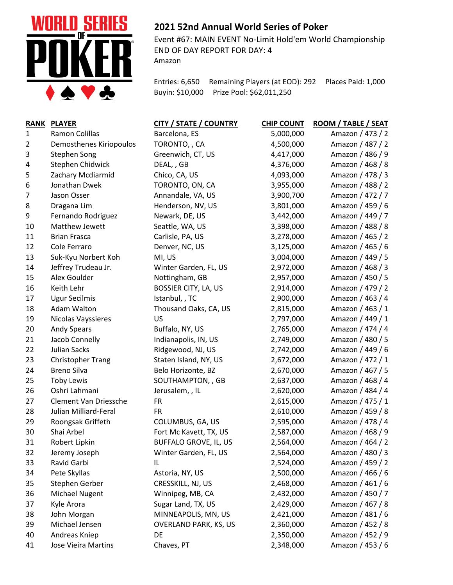

## **2021 52nd Annual World Series of Poker**

Event #67: MAIN EVENT No-Limit Hold'em World Championship END OF DAY REPORT FOR DAY: 4 Amazon

Entries: 6,650 Remaining Players (at EOD): 292 Places Paid: 1,000 Buyin: \$10,000 Prize Pool: \$62,011,250

| <b>RANK</b> | <b>PLAYER</b>            | <b>CITY / STATE / COUNTRY</b> | <b>CHIP COUNT</b> | ROOM / TABLE / SEAT |
|-------------|--------------------------|-------------------------------|-------------------|---------------------|
| 1           | Ramon Colillas           | Barcelona, ES                 | 5,000,000         | Amazon / 473 / 2    |
| 2           | Demosthenes Kiriopoulos  | TORONTO,, CA                  | 4,500,000         | Amazon / 487 / 2    |
| 3           | <b>Stephen Song</b>      | Greenwich, CT, US             | 4,417,000         | Amazon / 486 / 9    |
| 4           | Stephen Chidwick         | DEAL, , GB                    | 4,376,000         | Amazon / 468 / 8    |
| 5           | Zachary Mcdiarmid        | Chico, CA, US                 | 4,093,000         | Amazon / 478 / 3    |
| 6           | Jonathan Dwek            | TORONTO, ON, CA               | 3,955,000         | Amazon / 488 / 2    |
| 7           | Jason Osser              | Annandale, VA, US             | 3,900,700         | Amazon / 472 / 7    |
| 8           | Dragana Lim              | Henderson, NV, US             | 3,801,000         | Amazon / 459 / 6    |
| 9           | Fernando Rodriguez       | Newark, DE, US                | 3,442,000         | Amazon / 449 / 7    |
| 10          | Matthew Jewett           | Seattle, WA, US               | 3,398,000         | Amazon / 488 / 8    |
| 11          | <b>Brian Frasca</b>      | Carlisle, PA, US              | 3,278,000         | Amazon / 465 / 2    |
| 12          | Cole Ferraro             | Denver, NC, US                | 3,125,000         | Amazon / 465 / 6    |
| 13          | Suk-Kyu Norbert Koh      | MI, US                        | 3,004,000         | Amazon / 449 / 5    |
| 14          | Jeffrey Trudeau Jr.      | Winter Garden, FL, US         | 2,972,000         | Amazon / 468 / 3    |
| 15          | Alex Goulder             | Nottingham, GB                | 2,957,000         | Amazon / 450 / 5    |
| 16          | Keith Lehr               | <b>BOSSIER CITY, LA, US</b>   | 2,914,000         | Amazon / 479 / 2    |
| 17          | <b>Ugur Secilmis</b>     | Istanbul, , TC                | 2,900,000         | Amazon / 463 / 4    |
| 18          | Adam Walton              | Thousand Oaks, CA, US         | 2,815,000         | Amazon / 463 / 1    |
| 19          | Nicolas Vayssieres       | US                            | 2,797,000         | Amazon / 449 / 1    |
| 20          | <b>Andy Spears</b>       | Buffalo, NY, US               | 2,765,000         | Amazon / 474 / 4    |
| 21          | Jacob Connelly           | Indianapolis, IN, US          | 2,749,000         | Amazon / 480 / 5    |
| 22          | <b>Julian Sacks</b>      | Ridgewood, NJ, US             | 2,742,000         | Amazon / 449 / 6    |
| 23          | <b>Christopher Trang</b> | Staten Island, NY, US         | 2,672,000         | Amazon / 472 / 1    |
| 24          | <b>Breno Silva</b>       | Belo Horizonte, BZ            | 2,670,000         | Amazon / 467 / 5    |
| 25          | <b>Toby Lewis</b>        | SOUTHAMPTON, , GB             | 2,637,000         | Amazon / 468 / 4    |
| 26          | Oshri Lahmani            | Jerusalem, , IL               | 2,620,000         | Amazon / 484 / 4    |
| 27          | Clement Van Driessche    | <b>FR</b>                     | 2,615,000         | Amazon / 475 / 1    |
| 28          | Julian Milliard-Feral    | <b>FR</b>                     | 2,610,000         | Amazon / 459 / 8    |
| 29          | Roongsak Griffeth        | COLUMBUS, GA, US              | 2,595,000         | Amazon / 478 / 4    |
| 30          | Shai Arbel               | Fort Mc Kavett, TX, US        | 2,587,000         | Amazon / 468 / 9    |
| 31          | Robert Lipkin            | <b>BUFFALO GROVE, IL, US</b>  | 2,564,000         | Amazon / 464 / 2    |
| 32          | Jeremy Joseph            | Winter Garden, FL, US         | 2,564,000         | Amazon / 480 / 3    |
| 33          | Ravid Garbi              | IL                            | 2,524,000         | Amazon / 459 / 2    |
| 34          | Pete Skyllas             | Astoria, NY, US               | 2,500,000         | Amazon / 466 / 6    |
| 35          | Stephen Gerber           | CRESSKILL, NJ, US             | 2,468,000         | Amazon / 461 / 6    |
| 36          | Michael Nugent           | Winnipeg, MB, CA              | 2,432,000         | Amazon / 450 / 7    |
| 37          | Kyle Arora               | Sugar Land, TX, US            | 2,429,000         | Amazon / 467 / 8    |
| 38          | John Morgan              | MINNEAPOLIS, MN, US           | 2,421,000         | Amazon / 481 / 6    |
| 39          | Michael Jensen           | <b>OVERLAND PARK, KS, US</b>  | 2,360,000         | Amazon / 452 / 8    |
| 40          | Andreas Kniep            | DE                            | 2,350,000         | Amazon / 452 / 9    |
| 41          | Jose Vieira Martins      | Chaves, PT                    | 2,348,000         | Amazon / 453 / 6    |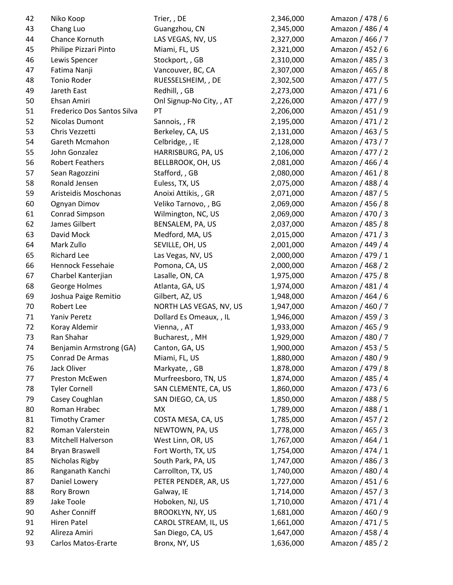| 42     | Niko Koop                  | Trier, , DE              | 2,346,000 | Amazon / 478 / 6 |
|--------|----------------------------|--------------------------|-----------|------------------|
| 43     | Chang Luo                  | Guangzhou, CN            | 2,345,000 | Amazon / 486 / 4 |
| 44     | Chance Kornuth             | LAS VEGAS, NV, US        | 2,327,000 | Amazon / 466 / 7 |
| 45     | Philipe Pizzari Pinto      | Miami, FL, US            | 2,321,000 | Amazon / 452 / 6 |
| 46     | Lewis Spencer              | Stockport, , GB          | 2,310,000 | Amazon / 485 / 3 |
| 47     | Fatima Nanji               | Vancouver, BC, CA        | 2,307,000 | Amazon / 465 / 8 |
| 48     | Tonio Roder                | RUESSELSHEIM, , DE       | 2,302,500 | Amazon / 477 / 5 |
| 49     | Jareth East                | Redhill, , GB            | 2,273,000 | Amazon / 471 / 6 |
| 50     | Ehsan Amiri                | Onl Signup-No City, , AT | 2,226,000 | Amazon / 477 / 9 |
| 51     | Frederico Dos Santos Silva | PT                       | 2,206,000 | Amazon / 451 / 9 |
| 52     | Nicolas Dumont             | Sannois, , FR            | 2,195,000 | Amazon / 471 / 2 |
| 53     | Chris Vezzetti             | Berkeley, CA, US         | 2,131,000 | Amazon / 463 / 5 |
| 54     | Gareth Mcmahon             | Celbridge, , IE          | 2,128,000 | Amazon / 473 / 7 |
| 55     | John Gonzalez              | HARRISBURG, PA, US       | 2,106,000 | Amazon / 477 / 2 |
| 56     | <b>Robert Feathers</b>     | <b>BELLBROOK, OH, US</b> | 2,081,000 | Amazon / 466 / 4 |
| 57     | Sean Ragozzini             | Stafford, , GB           | 2,080,000 | Amazon / 461 / 8 |
| 58     | Ronald Jensen              | Euless, TX, US           | 2,075,000 | Amazon / 488 / 4 |
| 59     | Aristeidis Moschonas       | Anoixi Attikis, , GR     | 2,071,000 | Amazon / 487 / 5 |
| 60     | Ognyan Dimov               | Veliko Tarnovo, , BG     | 2,069,000 | Amazon / 456 / 8 |
| 61     | Conrad Simpson             | Wilmington, NC, US       | 2,069,000 | Amazon / 470 / 3 |
| 62     | James Gilbert              | BENSALEM, PA, US         | 2,037,000 | Amazon / 485 / 8 |
| 63     | David Mock                 | Medford, MA, US          | 2,015,000 | Amazon / 471 / 3 |
| 64     | Mark Zullo                 | SEVILLE, OH, US          | 2,001,000 | Amazon / 449 / 4 |
| 65     | <b>Richard Lee</b>         | Las Vegas, NV, US        | 2,000,000 | Amazon / 479 / 1 |
| 66     | Hennock Fessehaie          | Pomona, CA, US           | 2,000,000 | Amazon / 468 / 2 |
| 67     | Charbel Kanterjian         | Lasalle, ON, CA          | 1,975,000 | Amazon / 475 / 8 |
| 68     | George Holmes              | Atlanta, GA, US          | 1,974,000 | Amazon / 481 / 4 |
| 69     | Joshua Paige Remitio       | Gilbert, AZ, US          | 1,948,000 | Amazon / 464 / 6 |
| $70\,$ | Robert Lee                 | NORTH LAS VEGAS, NV, US  | 1,947,000 | Amazon / 460 / 7 |
| 71     | Yaniv Peretz               | Dollard Es Omeaux, , IL  | 1,946,000 | Amazon / 459 / 3 |
| 72     | Koray Aldemir              | Vienna, , AT             | 1,933,000 | Amazon / 465 / 9 |
| 73     | Ran Shahar                 | Bucharest, , MH          | 1,929,000 | Amazon / 480 / 7 |
| 74     | Benjamin Armstrong (GA)    | Canton, GA, US           | 1,900,000 | Amazon / 453 / 5 |
| 75     | Conrad De Armas            | Miami, FL, US            | 1,880,000 | Amazon / 480 / 9 |
| 76     | Jack Oliver                | Markyate, , GB           | 1,878,000 | Amazon / 479 / 8 |
| 77     | Preston McEwen             | Murfreesboro, TN, US     | 1,874,000 | Amazon / 485 / 4 |
| 78     | <b>Tyler Cornell</b>       | SAN CLEMENTE, CA, US     | 1,860,000 | Amazon / 473 / 6 |
| 79     | Casey Coughlan             | SAN DIEGO, CA, US        | 1,850,000 | Amazon / 488 / 5 |
| 80     | Roman Hrabec               | МX                       | 1,789,000 | Amazon / 488 / 1 |
| 81     | <b>Timothy Cramer</b>      | COSTA MESA, CA, US       | 1,785,000 | Amazon / 457 / 2 |
| 82     | Roman Valerstein           | NEWTOWN, PA, US          | 1,778,000 | Amazon / 465 / 3 |
| 83     | Mitchell Halverson         | West Linn, OR, US        | 1,767,000 | Amazon / 464 / 1 |
|        | <b>Bryan Braswell</b>      | Fort Worth, TX, US       |           | Amazon / 474 / 1 |
| 84     |                            |                          | 1,754,000 |                  |
| 85     | Nicholas Rigby             | South Park, PA, US       | 1,747,000 | Amazon / 486 / 3 |
| 86     | Ranganath Kanchi           | Carrollton, TX, US       | 1,740,000 | Amazon / 480 / 4 |
| 87     | Daniel Lowery              | PETER PENDER, AR, US     | 1,727,000 | Amazon / 451 / 6 |
| 88     | Rory Brown                 | Galway, IE               | 1,714,000 | Amazon / 457 / 3 |
| 89     | Jake Toole                 | Hoboken, NJ, US          | 1,710,000 | Amazon / 471 / 4 |
| 90     | Asher Conniff              | <b>BROOKLYN, NY, US</b>  | 1,681,000 | Amazon / 460 / 9 |
| 91     | <b>Hiren Patel</b>         | CAROL STREAM, IL, US     | 1,661,000 | Amazon / 471 / 5 |
| 92     | Alireza Amiri              | San Diego, CA, US        | 1,647,000 | Amazon / 458 / 4 |
| 93     | <b>Carlos Matos-Erarte</b> | Bronx, NY, US            | 1,636,000 | Amazon / 485 / 2 |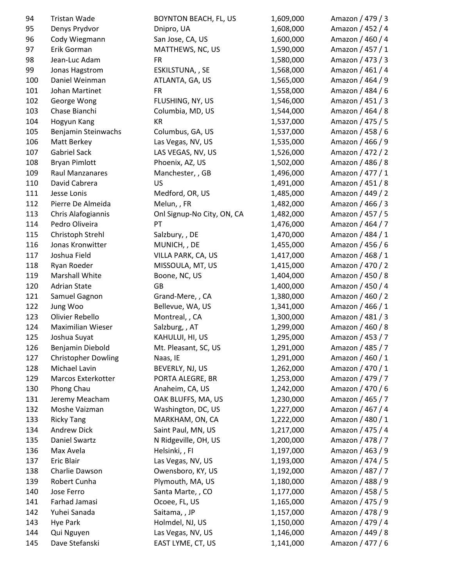| 94  | Tristan Wade               | <b>BOYNTON BEACH, FL, US</b> | 1,609,000 | Amazon / 479 / 3 |
|-----|----------------------------|------------------------------|-----------|------------------|
| 95  | Denys Prydvor              | Dnipro, UA                   | 1,608,000 | Amazon / 452 / 4 |
| 96  | Cody Wiegmann              | San Jose, CA, US             | 1,600,000 | Amazon / 460 / 4 |
| 97  | Erik Gorman                | MATTHEWS, NC, US             | 1,590,000 | Amazon / 457 / 1 |
| 98  | Jean-Luc Adam              | <b>FR</b>                    | 1,580,000 | Amazon / 473 / 3 |
| 99  | Jonas Hagstrom             | ESKILSTUNA, , SE             | 1,568,000 | Amazon / 461 / 4 |
| 100 | Daniel Weinman             | ATLANTA, GA, US              | 1,565,000 | Amazon / 464 / 9 |
| 101 | Johan Martinet             | <b>FR</b>                    | 1,558,000 | Amazon / 484 / 6 |
| 102 | George Wong                | FLUSHING, NY, US             | 1,546,000 | Amazon / 451 / 3 |
| 103 | Chase Bianchi              | Columbia, MD, US             | 1,544,000 | Amazon / 464 / 8 |
| 104 | Hogyun Kang                | KR                           | 1,537,000 | Amazon / 475 / 5 |
| 105 | Benjamin Steinwachs        | Columbus, GA, US             | 1,537,000 | Amazon / 458 / 6 |
| 106 | Matt Berkey                | Las Vegas, NV, US            | 1,535,000 | Amazon / 466 / 9 |
| 107 | <b>Gabriel Sack</b>        | LAS VEGAS, NV, US            | 1,526,000 | Amazon / 472 / 2 |
| 108 | <b>Bryan Pimlott</b>       | Phoenix, AZ, US              | 1,502,000 | Amazon / 486 / 8 |
| 109 | Raul Manzanares            | Manchester, , GB             | 1,496,000 | Amazon / 477 / 1 |
| 110 | David Cabrera              | US                           | 1,491,000 | Amazon / 451 / 8 |
| 111 | Jesse Lonis                | Medford, OR, US              | 1,485,000 | Amazon / 449 / 2 |
| 112 | Pierre De Almeida          | Melun, , FR                  | 1,482,000 | Amazon / 466 / 3 |
| 113 | Chris Alafogiannis         | Onl Signup-No City, ON, CA   | 1,482,000 | Amazon / 457 / 5 |
| 114 | Pedro Oliveira             | PT                           | 1,476,000 | Amazon / 464 / 7 |
| 115 | Christoph Strehl           | Salzbury, , DE               | 1,470,000 | Amazon / 484 / 1 |
| 116 | Jonas Kronwitter           | MUNICH, , DE                 | 1,455,000 | Amazon / 456 / 6 |
| 117 | Joshua Field               | VILLA PARK, CA, US           | 1,417,000 | Amazon / 468 / 1 |
| 118 | Ryan Roeder                | MISSOULA, MT, US             | 1,415,000 | Amazon / 470 / 2 |
| 119 | Marshall White             | Boone, NC, US                | 1,404,000 | Amazon / 450 / 8 |
| 120 | <b>Adrian State</b>        | GB                           | 1,400,000 | Amazon / 450 / 4 |
| 121 | Samuel Gagnon              | Grand-Mere, , CA             | 1,380,000 | Amazon / 460 / 2 |
| 122 | Jung Woo                   | Bellevue, WA, US             | 1,341,000 | Amazon / 466 / 1 |
| 123 | Olivier Rebello            | Montreal, , CA               | 1,300,000 | Amazon / 481 / 3 |
| 124 | <b>Maximilian Wieser</b>   | Salzburg, , AT               | 1,299,000 | Amazon / 460 / 8 |
| 125 | Joshua Suyat               | KAHULUI, HI, US              | 1,295,000 | Amazon / 453 / 7 |
| 126 | Benjamin Diebold           | Mt. Pleasant, SC, US         | 1,291,000 | Amazon / 485 / 7 |
| 127 | <b>Christopher Dowling</b> | Naas, IE                     | 1,291,000 | Amazon / 460 / 1 |
| 128 | Michael Lavin              | BEVERLY, NJ, US              | 1,262,000 | Amazon / 470 / 1 |
| 129 | <b>Marcos Exterkotter</b>  | PORTA ALEGRE, BR             | 1,253,000 | Amazon / 479 / 7 |
| 130 | Phong Chau                 | Anaheim, CA, US              | 1,242,000 | Amazon / 470 / 6 |
| 131 | Jeremy Meacham             | OAK BLUFFS, MA, US           | 1,230,000 | Amazon / 465 / 7 |
| 132 | Moshe Vaizman              | Washington, DC, US           | 1,227,000 | Amazon / 467 / 4 |
| 133 | <b>Ricky Tang</b>          | MARKHAM, ON, CA              | 1,222,000 | Amazon / 480 / 1 |
| 134 | <b>Andrew Dick</b>         | Saint Paul, MN, US           | 1,217,000 | Amazon / 475 / 4 |
| 135 | Daniel Swartz              | N Ridgeville, OH, US         | 1,200,000 | Amazon / 478 / 7 |
| 136 | Max Avela                  | Helsinki,, Fl                | 1,197,000 | Amazon / 463 / 9 |
| 137 | Eric Blair                 | Las Vegas, NV, US            | 1,193,000 | Amazon / 474 / 5 |
| 138 | Charlie Dawson             | Owensboro, KY, US            | 1,192,000 | Amazon / 487 / 7 |
| 139 | Robert Cunha               | Plymouth, MA, US             | 1,180,000 | Amazon / 488 / 9 |
| 140 | Jose Ferro                 | Santa Marte, , CO            | 1,177,000 | Amazon / 458 / 5 |
| 141 | Farhad Jamasi              | Ocoee, FL, US                | 1,165,000 | Amazon / 475 / 9 |
| 142 | Yuhei Sanada               | Saitama, , JP                | 1,157,000 | Amazon / 478 / 9 |
| 143 | <b>Hye Park</b>            | Holmdel, NJ, US              | 1,150,000 | Amazon / 479 / 4 |
| 144 | Qui Nguyen                 | Las Vegas, NV, US            | 1,146,000 | Amazon / 449 / 8 |
| 145 | Dave Stefanski             | EAST LYME, CT, US            | 1,141,000 | Amazon / 477 / 6 |
|     |                            |                              |           |                  |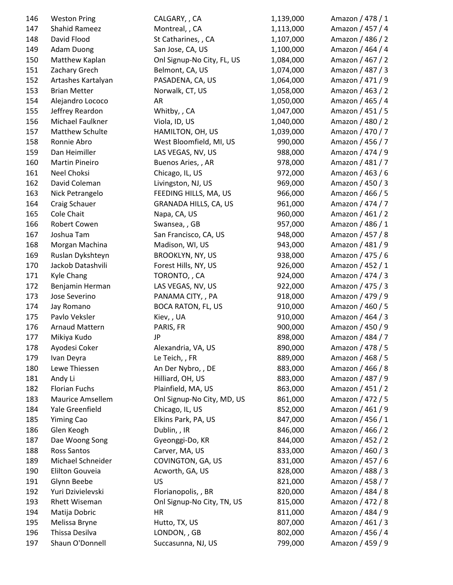| 146 | <b>Weston Pring</b>     | CALGARY, , CA              | 1,139,000 | Amazon / 478 / 1 |
|-----|-------------------------|----------------------------|-----------|------------------|
| 147 | <b>Shahid Rameez</b>    | Montreal, , CA             | 1,113,000 | Amazon / 457 / 4 |
| 148 | David Flood             | St Catharines, , CA        | 1,107,000 | Amazon / 486 / 2 |
| 149 | <b>Adam Duong</b>       | San Jose, CA, US           | 1,100,000 | Amazon / 464 / 4 |
| 150 | Matthew Kaplan          | Onl Signup-No City, FL, US | 1,084,000 | Amazon / 467 / 2 |
| 151 | Zachary Grech           | Belmont, CA, US            | 1,074,000 | Amazon / 487 / 3 |
| 152 | Artashes Kartalyan      | PASADENA, CA, US           | 1,064,000 | Amazon / 471 / 9 |
| 153 | <b>Brian Metter</b>     | Norwalk, CT, US            | 1,058,000 | Amazon / 463 / 2 |
| 154 | Alejandro Lococo        | AR                         | 1,050,000 | Amazon / 465 / 4 |
| 155 | Jeffrey Reardon         | Whitby, , CA               | 1,047,000 | Amazon / 451 / 5 |
| 156 | Michael Faulkner        | Viola, ID, US              | 1,040,000 | Amazon / 480 / 2 |
| 157 | Matthew Schulte         | HAMILTON, OH, US           | 1,039,000 | Amazon / 470 / 7 |
| 158 | Ronnie Abro             | West Bloomfield, MI, US    | 990,000   | Amazon / 456 / 7 |
| 159 | Dan Heimiller           | LAS VEGAS, NV, US          | 988,000   | Amazon / 474 / 9 |
| 160 | <b>Martin Pineiro</b>   | Buenos Aries,, AR          | 978,000   | Amazon / 481 / 7 |
| 161 | Neel Choksi             | Chicago, IL, US            | 972,000   | Amazon / 463 / 6 |
| 162 | David Coleman           | Livingston, NJ, US         | 969,000   | Amazon / 450 / 3 |
| 163 | Nick Petrangelo         | FEEDING HILLS, MA, US      | 966,000   | Amazon / 466 / 5 |
| 164 | Craig Schauer           | GRANADA HILLS, CA, US      | 961,000   | Amazon / 474 / 7 |
| 165 | <b>Cole Chait</b>       | Napa, CA, US               | 960,000   | Amazon / 461 / 2 |
| 166 | Robert Cowen            | Swansea, , GB              | 957,000   | Amazon / 486 / 1 |
| 167 | Joshua Tam              | San Francisco, CA, US      | 948,000   | Amazon / 457 / 8 |
| 168 | Morgan Machina          | Madison, WI, US            | 943,000   | Amazon / 481 / 9 |
| 169 | Ruslan Dykshteyn        | <b>BROOKLYN, NY, US</b>    | 938,000   | Amazon / 475 / 6 |
| 170 | Jackob Datashvili       | Forest Hills, NY, US       | 926,000   | Amazon / 452 / 1 |
| 171 | Kyle Chang              | TORONTO,, CA               | 924,000   | Amazon / 474 / 3 |
| 172 | Benjamin Herman         | LAS VEGAS, NV, US          | 922,000   | Amazon / 475 / 3 |
| 173 | Jose Severino           | PANAMA CITY, , PA          | 918,000   | Amazon / 479 / 9 |
| 174 | Jay Romano              | <b>BOCA RATON, FL, US</b>  | 910,000   | Amazon / 460 / 5 |
| 175 | Pavlo Veksler           | Kiev, , UA                 | 910,000   | Amazon / 464 / 3 |
| 176 | <b>Arnaud Mattern</b>   | PARIS, FR                  | 900,000   | Amazon / 450 / 9 |
| 177 | Mikiya Kudo             | <b>JP</b>                  | 898,000   | Amazon / 484 / 7 |
| 178 | Ayodesi Coker           | Alexandria, VA, US         | 890,000   | Amazon / 478 / 5 |
| 179 | Ivan Deyra              | Le Teich, , FR             | 889,000   | Amazon / 468 / 5 |
| 180 | Lewe Thiessen           | An Der Nybro, , DE         | 883,000   | Amazon / 466 / 8 |
| 181 | Andy Li                 | Hilliard, OH, US           | 883,000   | Amazon / 487 / 9 |
| 182 | <b>Florian Fuchs</b>    | Plainfield, MA, US         | 863,000   | Amazon / 451 / 2 |
| 183 | <b>Maurice Amsellem</b> | Onl Signup-No City, MD, US | 861,000   | Amazon / 472 / 5 |
| 184 | Yale Greenfield         | Chicago, IL, US            | 852,000   | Amazon / 461 / 9 |
| 185 | <b>Yiming Cao</b>       | Elkins Park, PA, US        | 847,000   | Amazon / 456 / 1 |
| 186 | Glen Keogh              | Dublin, , IR               | 846,000   | Amazon / 466 / 2 |
| 187 | Dae Woong Song          | Gyeonggi-Do, KR            | 844,000   | Amazon / 452 / 2 |
| 188 | Ross Santos             | Carver, MA, US             | 833,000   | Amazon / 460 / 3 |
| 189 | Michael Schneider       | COVINGTON, GA, US          | 831,000   | Amazon / 457 / 6 |
| 190 | Elilton Gouveia         | Acworth, GA, US            | 828,000   | Amazon / 488 / 3 |
| 191 | Glynn Beebe             | US                         | 821,000   | Amazon / 458 / 7 |
| 192 | Yuri Dzivielevski       | Florianopolis, , BR        | 820,000   | Amazon / 484 / 8 |
| 193 | Rhett Wiseman           | Onl Signup-No City, TN, US | 815,000   | Amazon / 472 / 8 |
| 194 | Matija Dobric           | HR                         | 811,000   | Amazon / 484 / 9 |
| 195 | Melissa Bryne           | Hutto, TX, US              | 807,000   | Amazon / 461 / 3 |
| 196 | Thissa Desilva          | LONDON, , GB               | 802,000   | Amazon / 456 / 4 |
| 197 | Shaun O'Donnell         | Succasunna, NJ, US         | 799,000   | Amazon / 459 / 9 |
|     |                         |                            |           |                  |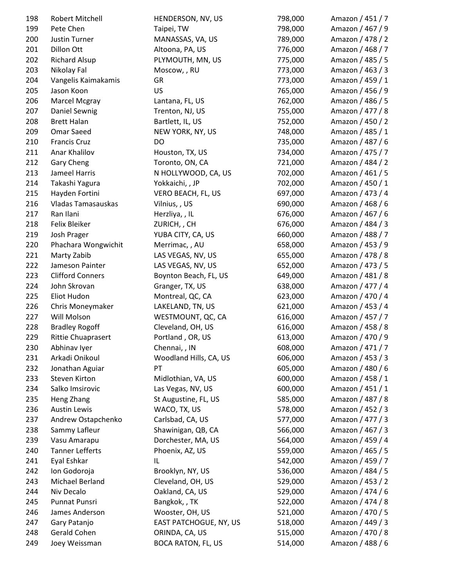| 198 | Robert Mitchell                   | HENDERSON, NV, US         | 798,000 | Amazon / 451 / 7 |
|-----|-----------------------------------|---------------------------|---------|------------------|
| 199 | Pete Chen                         | Taipei, TW                | 798,000 | Amazon / 467 / 9 |
| 200 | Justin Turner                     | MANASSAS, VA, US          | 789,000 | Amazon / 478 / 2 |
| 201 | Dillon Ott                        | Altoona, PA, US           | 776,000 | Amazon / 468 / 7 |
| 202 | <b>Richard Alsup</b>              | PLYMOUTH, MN, US          | 775,000 | Amazon / 485 / 5 |
| 203 | Nikolay Fal                       | Moscow, , RU              | 773,000 | Amazon / 463 / 3 |
| 204 | Vangelis Kaimakamis               | GR                        | 773,000 | Amazon / 459 / 1 |
| 205 | Jason Koon                        | <b>US</b>                 | 765,000 | Amazon / 456 / 9 |
| 206 | Marcel Mcgray                     | Lantana, FL, US           | 762,000 | Amazon / 486 / 5 |
| 207 | Daniel Sewnig                     | Trenton, NJ, US           | 755,000 | Amazon / 477 / 8 |
| 208 | <b>Brett Halan</b>                | Bartlett, IL, US          | 752,000 | Amazon / 450 / 2 |
| 209 | <b>Omar Saeed</b>                 | NEW YORK, NY, US          | 748,000 | Amazon / 485 / 1 |
| 210 | <b>Francis Cruz</b>               | DO                        | 735,000 | Amazon / 487 / 6 |
| 211 | Anar Khalilov                     | Houston, TX, US           | 734,000 | Amazon / 475 / 7 |
| 212 | <b>Gary Cheng</b>                 | Toronto, ON, CA           | 721,000 | Amazon / 484 / 2 |
| 213 | Jameel Harris                     | N HOLLYWOOD, CA, US       | 702,000 | Amazon / 461 / 5 |
| 214 | Takashi Yagura                    | Yokkaichi, , JP           | 702,000 | Amazon / 450 / 1 |
| 215 | Hayden Fortini                    | VERO BEACH, FL, US        | 697,000 | Amazon / 473 / 4 |
| 216 | Vladas Tamasauskas                | Vilnius, , US             | 690,000 | Amazon / 468 / 6 |
| 217 | Ran Ilani                         | Herzliya, , IL            | 676,000 | Amazon / 467 / 6 |
| 218 | Felix Bleiker                     | ZURICH, , CH              | 676,000 | Amazon / 484 / 3 |
| 219 | Josh Prager                       | YUBA CITY, CA, US         | 660,000 | Amazon / 488 / 7 |
| 220 | Phachara Wongwichit               | Merrimac, , AU            | 658,000 | Amazon / 453 / 9 |
| 221 | Marty Zabib                       | LAS VEGAS, NV, US         | 655,000 | Amazon / 478 / 8 |
| 222 | Jameson Painter                   | LAS VEGAS, NV, US         | 652,000 | Amazon / 473 / 5 |
| 223 | <b>Clifford Conners</b>           | Boynton Beach, FL, US     | 649,000 | Amazon / 481 / 8 |
| 224 | John Skrovan                      | Granger, TX, US           | 638,000 | Amazon / 477 / 4 |
| 225 | Eliot Hudon                       | Montreal, QC, CA          | 623,000 | Amazon / 470 / 4 |
| 226 | Chris Moneymaker                  | LAKELAND, TN, US          | 621,000 | Amazon / 453 / 4 |
| 227 | Will Molson                       | WESTMOUNT, QC, CA         | 616,000 | Amazon / 457 / 7 |
| 228 | <b>Bradley Rogoff</b>             | Cleveland, OH, US         | 616,000 | Amazon / 458 / 8 |
| 229 | <b>Rittie Chuaprasert</b>         | Portland, OR, US          | 613,000 | Amazon / 470 / 9 |
| 230 | Abhinav Iyer                      | Chennai, , IN             | 608,000 | Amazon / 471 / 7 |
| 231 | Arkadi Onikoul                    | Woodland Hills, CA, US    | 606,000 | Amazon / 453 / 3 |
| 232 | Jonathan Aguiar                   | PT                        | 605,000 | Amazon / 480 / 6 |
| 233 | Steven Kirton                     | Midlothian, VA, US        | 600,000 | Amazon / 458 / 1 |
| 234 | Salko Imsirovic                   | Las Vegas, NV, US         | 600,000 | Amazon / 451 / 1 |
| 235 |                                   | St Augustine, FL, US      | 585,000 | Amazon / 487 / 8 |
|     | Heng Zhang<br><b>Austin Lewis</b> |                           | 578,000 |                  |
| 236 |                                   | WACO, TX, US              |         | Amazon / 452 / 3 |
| 237 | Andrew Ostapchenko                | Carlsbad, CA, US          | 577,000 | Amazon / 477 / 3 |
| 238 | Sammy Lafleur                     | Shawinigan, QB, CA        | 566,000 | Amazon / 467 / 3 |
| 239 | Vasu Amarapu                      | Dorchester, MA, US        | 564,000 | Amazon / 459 / 4 |
| 240 | <b>Tanner Lefferts</b>            | Phoenix, AZ, US           | 559,000 | Amazon / 465 / 5 |
| 241 | Eyal Eshkar                       | IL                        | 542,000 | Amazon / 459 / 7 |
| 242 | Ion Godoroja                      | Brooklyn, NY, US          | 536,000 | Amazon / 484 / 5 |
| 243 | Michael Berland                   | Cleveland, OH, US         | 529,000 | Amazon / 453 / 2 |
| 244 | Niv Decalo                        | Oakland, CA, US           | 529,000 | Amazon / 474 / 6 |
| 245 | Punnat Punsri                     | Bangkok, , TK             | 522,000 | Amazon / 474 / 8 |
| 246 | James Anderson                    | Wooster, OH, US           | 521,000 | Amazon / 470 / 5 |
| 247 | Gary Patanjo                      | EAST PATCHOGUE, NY, US    | 518,000 | Amazon / 449 / 3 |
| 248 | Gerald Cohen                      | ORINDA, CA, US            | 515,000 | Amazon / 470 / 8 |
| 249 | Joey Weissman                     | <b>BOCA RATON, FL, US</b> | 514,000 | Amazon / 488 / 6 |